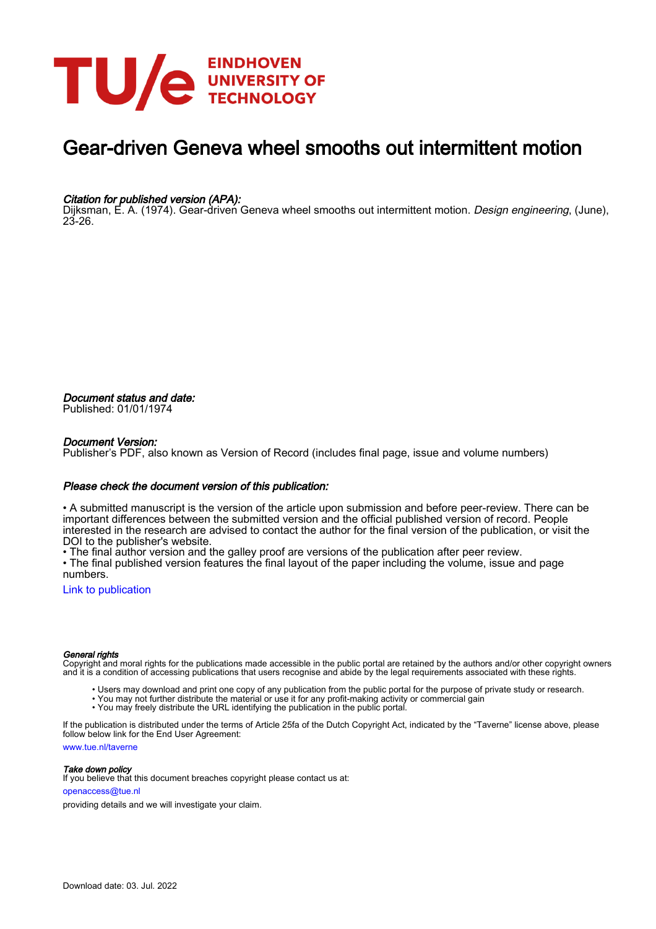

## Gear-driven Geneva wheel smooths out intermittent motion

### Citation for published version (APA):

Dijksman, E. A. (1974). Gear-driven Geneva wheel smooths out intermittent motion. Design engineering, (June), 23-26.

Document status and date: Published: 01/01/1974

#### Document Version:

Publisher's PDF, also known as Version of Record (includes final page, issue and volume numbers)

#### Please check the document version of this publication:

• A submitted manuscript is the version of the article upon submission and before peer-review. There can be important differences between the submitted version and the official published version of record. People interested in the research are advised to contact the author for the final version of the publication, or visit the DOI to the publisher's website.

• The final author version and the galley proof are versions of the publication after peer review.

• The final published version features the final layout of the paper including the volume, issue and page numbers.

[Link to publication](https://research.tue.nl/en/publications/754309e5-0860-4f16-ae2b-491b7bd9737e)

#### General rights

Copyright and moral rights for the publications made accessible in the public portal are retained by the authors and/or other copyright owners and it is a condition of accessing publications that users recognise and abide by the legal requirements associated with these rights.

- Users may download and print one copy of any publication from the public portal for the purpose of private study or research.
- You may not further distribute the material or use it for any profit-making activity or commercial gain
- You may freely distribute the URL identifying the publication in the public portal.

If the publication is distributed under the terms of Article 25fa of the Dutch Copyright Act, indicated by the "Taverne" license above, please follow below link for the End User Agreement:

www.tue.nl/taverne

**Take down policy**<br>If you believe that this document breaches copyright please contact us at:

openaccess@tue.nl

providing details and we will investigate your claim.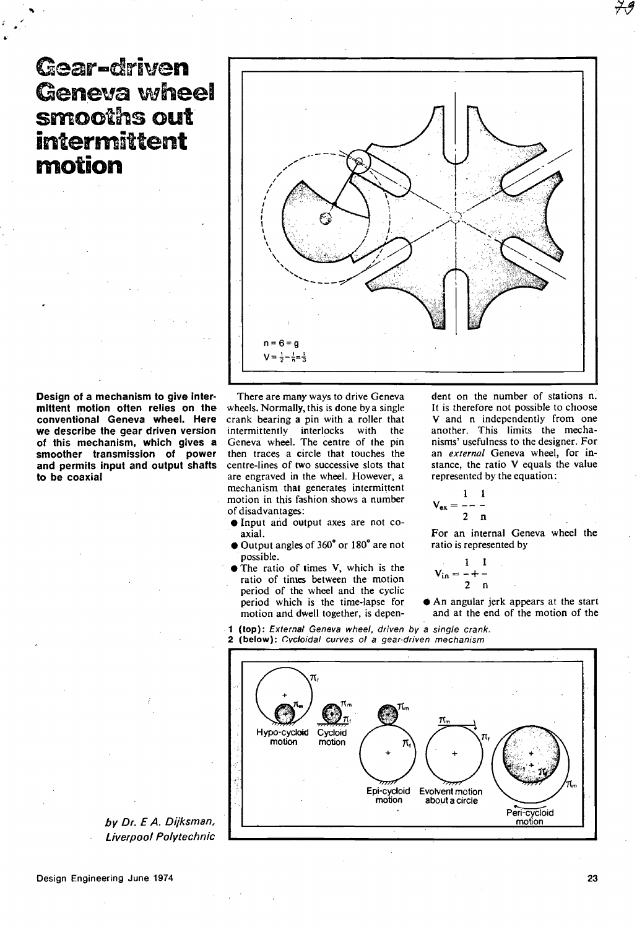# Gear-driven Geneva wheel smooths out intermittent **motion**



Design of a mechanism to give Intermittent motion often relies on the conventional Geneva wheel. Here we describe the gear driven version of this mechanism, which gives a smoother transmission of power and permits input and output shafts to be coaxial

There are many ways to drive Geneva wheels. Normally, this is done bya single crank bearing a pin with a roller that intermittently interlocks with the Geneva wheel. The centre of the pin then traces a circle that touches the centre-lines of two successive slots that are engraved in the wheel. However, a mechanism that generates intermittent motion in this fashion shows a number of disadvantages:

- **Input and output axes are not co**axial.
- Output angles of 360" or 180" are not possible.
- The ratio of times V, which is the ratio of times between the motion period of the wheel and the cyclic period which is thc time-lapse for motion and dwell together, is depen-

dent on the number of stations n. It is therefore not possible to choose V and n independently from one another. This limits the mechanisms' usefulness to thc designer. For an *external* Geneva wheel, for instance, the ratio V equals the value represcnted by the equation:

$$
V_{ex} = \frac{1}{2} - \frac{1}{n}
$$

For an internal Geneva wheel the ratio is represented by

$$
V_{in} = \frac{1}{2} + \frac{1}{n}
$$

- An angular jerk appears at the start and at the end of the motion of the
- 1 (top): Ex/ernal Geneva wheel, driven *by* a single crank. 2 (below): Cycloidal curves of a gear-driven mechanism



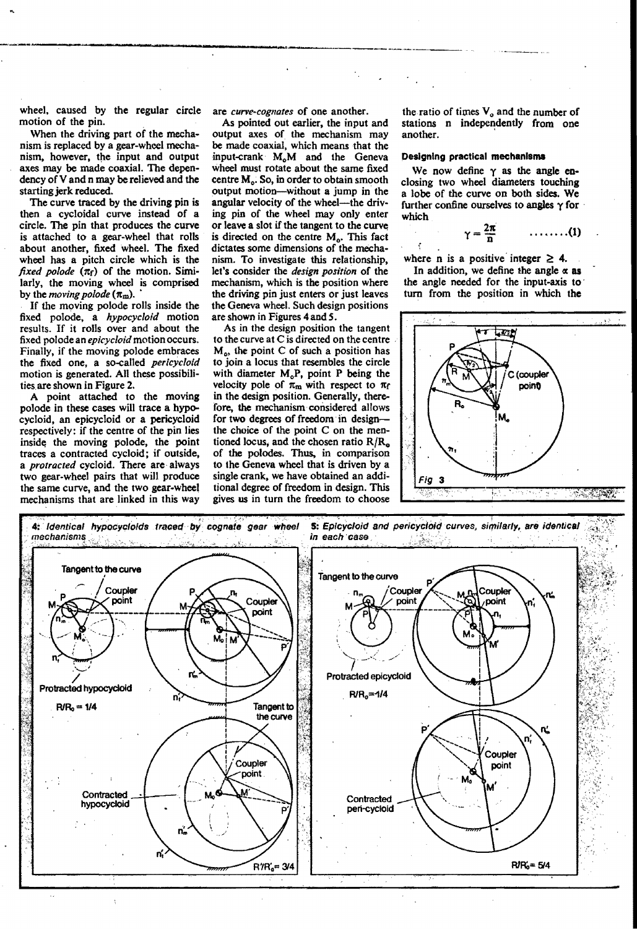wheel, caused by the regular circle motion of the pin.

When the driving part of the mechanism is replaced by a gear-wheel mechanism. however, the input and output axes may be made coaxial. The dependency of V and n may be relieved and the starting jerk reduced.

The curve traced by the driving pin is tben a cycloidal curve instead of a cirde. The pin that produces the curve is attached *ta* a gear-wheel that rolls about another, fixed wheel. The fixed wheel has a pitch circle which is the  $\int$ *fixed polode*  $(\pi_f)$  of the motion. Similarly, the moving wheel is comprised by the *moving polode*  $({\pi_{\rm m}})$ .

If tbe moving polode rolls inside the fixed polode, a *hypocyc/oid* motion results. If it rolls over and about the fixed polode an *epicycloid* motion occurs. Finally, if the moving polode embraces the fixed one, a so-called *pericyc/oid*  motion is generated. All these possibilities. are shown in Figure 2.

A point attached to the moving polode in these cases will trace a hypocycloid, an epicycloid or a pericycloid respectively: if the centre of the pin lies inside the moving polode, the point traces a contracted cycloid; if outside, a *protrocted* cycloid. There are· always two gear-wheel pairs that will produce the same curve, and the two gear-wheel mechanisrns that are linked in this way

are *curve-cognates* of one another.

-~--------------"--\_.\_.\_---------\_.

As pointed out earlier, the input and output axes of tbe mechanism may be made coaxial, which means that the input-crank M<sub>o</sub>M and the Geneva wheel must rotate about the same fixed centre  $M<sub>o</sub>$ . So, in order to obtain smooth output motion-witbout a jump in the angular velocity of the wheel-the driving pin of tbe wheel may only enter or leave a slot if the tangent to the curve is directed on the centre  $M<sub>o</sub>$ . This fact dictates some dimensions of the mechanism. To investigate this relationship, let's coosider the *design position* of tbe mechanism. which is the position where the driving pin just enters or just leaves the Geneva wheel. Such design positions are shown in Figures 4 and *S.* 

As in the design position the tangent to the curve at C is directed on the centre  $M<sub>o</sub>$ , the point C of such a position has to join a locus that resembles the circle with diameter  $M_0P$ , point P being the velocity pole of  $\pi_m$  with respect to  $\pi_f$ in the design position. Generally, therefore, the mechanism considered allows for two degrees of freedom in designthe choice of the point C on the mentioned locus, and the chosen ratio  $R/R<sub>o</sub>$ . of the polodes. Thus, in comparison to the Geneva wheel that is driven by a single crank, we have obtained an additional degree of freedom in design. This gives us in turn the freedom to cboose

the ratio of times  $V<sub>o</sub>$  and the number of stations n independently from one another.

#### Designing practical mechanisms

We now define  $\gamma$  as the angle enclosing two wheel diameters touching a lobe of the curve on both sides. We further confine ourselves to angles  $\gamma$  for which

$$
\gamma = \frac{2\pi}{n} \qquad \qquad \ldots \ldots \ldots (1)
$$

where n is a positive integer  $\geq$  4.

ł

In addition, we define the angle  $\alpha$  as the angle needed for the input-axis to turn from the position in which the



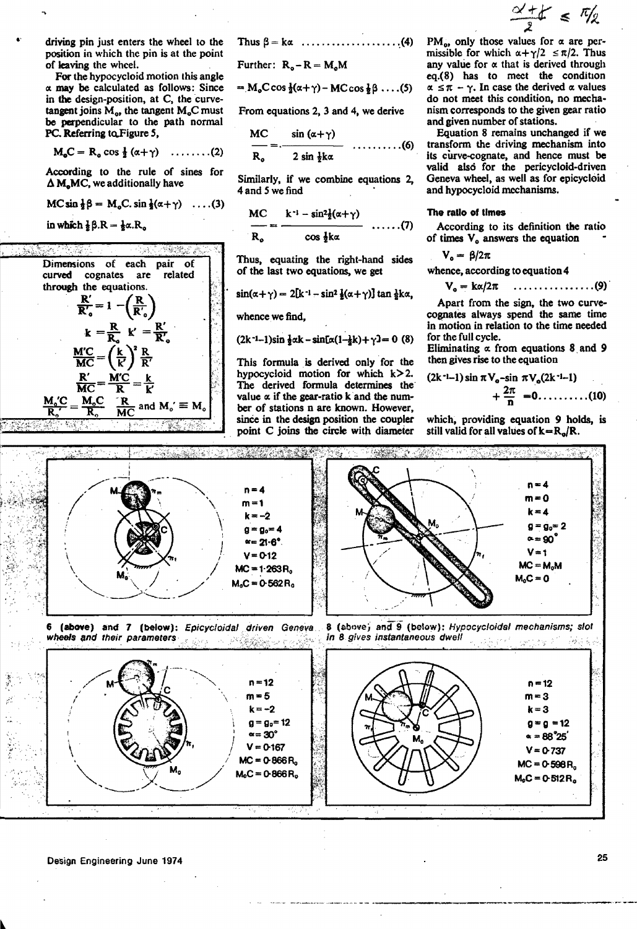driving pin just enters the wheel to the position in which the pin is at the point of leaving the wheel.

For the hypocycloid motion this angle  $\alpha$  may be calculated as follows: Since in the design-position, at C, the curvetangent joins  $M_{\alpha}$ , the tangent  $M_{\alpha}$ C must be perpendicular to the path normal PC. Referring to Figure 5,

$$
M_{\circ}C = R_{\circ} \cos \frac{1}{2} (\alpha + \gamma) \quad \ldots \ldots \ldots (2)
$$

According to the rule of sines for  $\Delta$  M<sub>a</sub>MC, we additionally have

$$
\mathsf{MC}\sin\frac{1}{2}\beta = \mathsf{M}_{\mathrm{o}}\mathsf{C}\cdot\sin\frac{1}{2}(\alpha + \gamma) \quad \ldots (3)
$$

in which 
$$
\frac{1}{2}\beta \cdot R = \frac{1}{2}\alpha \cdot R_{\alpha}
$$



Thus 
$$
\beta = k\alpha
$$
 ... (4)

Further: 
$$
R_o - R = M_o M
$$

ר

$$
= M_0 C \cos \frac{1}{2}(\alpha + \gamma) - MC \cos \frac{1}{2} \beta \dots (5)
$$

From equations 2, 3 and 4, we derive

$$
\frac{MC}{R_a} = \frac{\sin{(\alpha + \gamma)}}{2 \sin{\frac{1}{2}k\alpha}} \dots \dots \dots \dots (6)
$$

Similarly, if we combine equations 2, 4 and 5 we find

$$
\frac{MC}{R_o} = \frac{k^{-1} - \sin^2 \frac{1}{2}(\alpha + \gamma)}{\cos \frac{1}{2}k\alpha} \quad .......(7)
$$

Thus, equating the right-hand sides of the last two equations, we get

$$
\sin(\alpha + \gamma) = 2[k^{-1} - \sin^2 \frac{1}{2}(\alpha + \gamma)] \tan \frac{1}{2}k\alpha,
$$

whence we find.

$$
(2k^{-1}-1)\sin \frac{1}{2}\alpha k - \sin[\alpha(1-\frac{1}{2}k) + \gamma] = 0
$$
 (8)

This formula is derived only for the hypocycloid motion for which  $k > 2$ . The derived formula determines the value  $\alpha$  if the gear-ratio k and the number of stations n are known. However, since in the design position the coupler point C joins the circle with diameter

$$
\frac{\alpha'+1}{2} \leq \frac{\pi}{2}
$$

PM<sub>0</sub>, only those values for  $\alpha$  are permissible for which  $\alpha + \gamma/2 \le \pi/2$ . Thus any value for  $\alpha$  that is derived through eq.(8) has to meet the condition  $\alpha \leq \pi - \gamma$ . In case the derived  $\alpha$  values do not meet this condition, no mechanism corresponds to the given gear ratio and given number of stations.

Equation 8 remains unchanged if we transform the driving mechanism into its curve-cognate, and hence must be valid also for the pericycloid-driven Geneva wheel, as well as for epicycloid and hypocycloid mechanisms.

#### The ratio of times

According to its definition the ratio of times  $V_0$  answers the equation

$$
V_o = \beta/2\pi
$$

whence, according to equation 4

$$
V_o = k\alpha/2\pi \quad \ldots \ldots \ldots \ldots \ldots (9)
$$

Apart from the sign, the two curvecognates always spend the same time in motion in relation to the time needed for the full cycle.

Eliminating  $\alpha$  from equations 8 and 9 then gives rise to the equation

$$
(2k^{-1}-1)\sin \pi V_0 - \sin \pi V_0(2k^{-1}-1) + \frac{2\pi}{n} = 0 \dots \dots \dots (10)
$$

which, providing equation 9 holds, is still valid for all values of  $k = R_0/R$ .